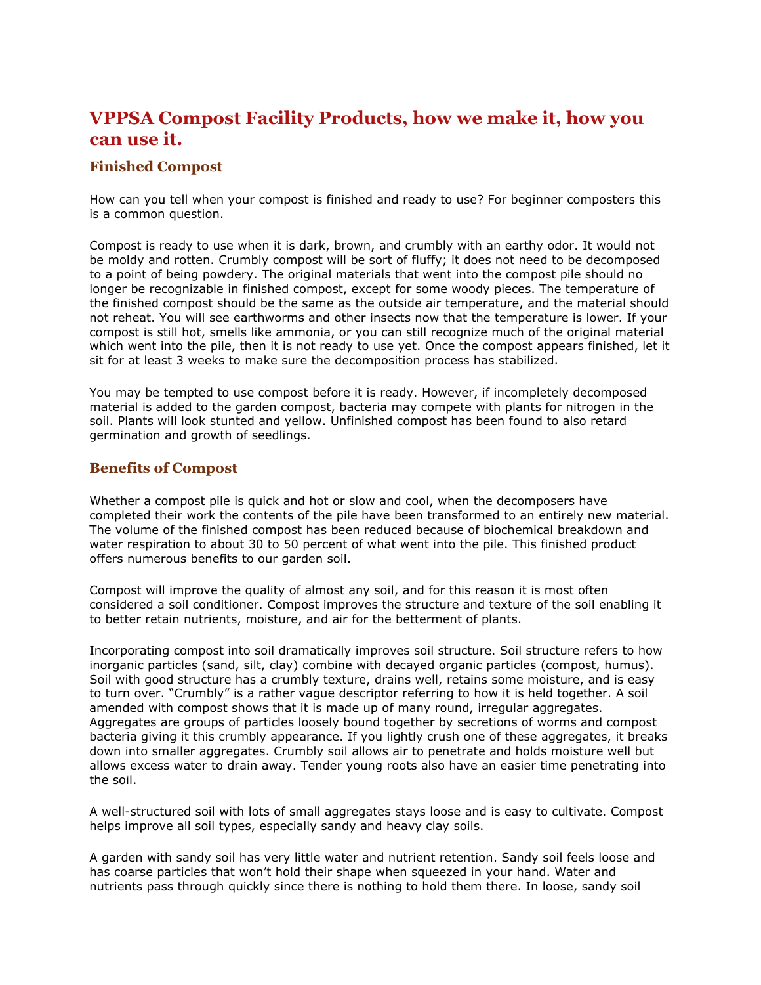# **VPPSA Compost Facility Products, how we make it, how you can use it.**

# **Finished Compost**

How can you tell when your compost is finished and ready to use? For beginner composters this is a common question.

Compost is ready to use when it is dark, brown, and crumbly with an earthy odor. It would not be moldy and rotten. Crumbly compost will be sort of fluffy; it does not need to be decomposed to a point of being powdery. The original materials that went into the compost pile should no longer be recognizable in finished compost, except for some woody pieces. The temperature of the finished compost should be the same as the outside air temperature, and the material should not reheat. You will see earthworms and other insects now that the temperature is lower. If your compost is still hot, smells like ammonia, or you can still recognize much of the original material which went into the pile, then it is not ready to use yet. Once the compost appears finished, let it sit for at least 3 weeks to make sure the decomposition process has stabilized.

You may be tempted to use compost before it is ready. However, if incompletely decomposed material is added to the garden compost, bacteria may compete with plants for nitrogen in the soil. Plants will look stunted and yellow. Unfinished compost has been found to also retard germination and growth of seedlings.

# **Benefits of Compost**

Whether a compost pile is quick and hot or slow and cool, when the decomposers have completed their work the contents of the pile have been transformed to an entirely new material. The volume of the finished compost has been reduced because of biochemical breakdown and water respiration to about 30 to 50 percent of what went into the pile. This finished product offers numerous benefits to our garden soil.

Compost will improve the quality of almost any soil, and for this reason it is most often considered a soil conditioner. Compost improves the structure and texture of the soil enabling it to better retain nutrients, moisture, and air for the betterment of plants.

Incorporating compost into soil dramatically improves soil structure. Soil structure refers to how inorganic particles (sand, silt, clay) combine with decayed organic particles (compost, humus). Soil with good structure has a crumbly texture, drains well, retains some moisture, and is easy to turn over. "Crumbly" is a rather vague descriptor referring to how it is held together. A soil amended with compost shows that it is made up of many round, irregular aggregates. Aggregates are groups of particles loosely bound together by secretions of worms and compost bacteria giving it this crumbly appearance. If you lightly crush one of these aggregates, it breaks down into smaller aggregates. Crumbly soil allows air to penetrate and holds moisture well but allows excess water to drain away. Tender young roots also have an easier time penetrating into the soil.

A well-structured soil with lots of small aggregates stays loose and is easy to cultivate. Compost helps improve all soil types, especially sandy and heavy clay soils.

A garden with sandy soil has very little water and nutrient retention. Sandy soil feels loose and has coarse particles that won't hold their shape when squeezed in your hand. Water and nutrients pass through quickly since there is nothing to hold them there. In loose, sandy soil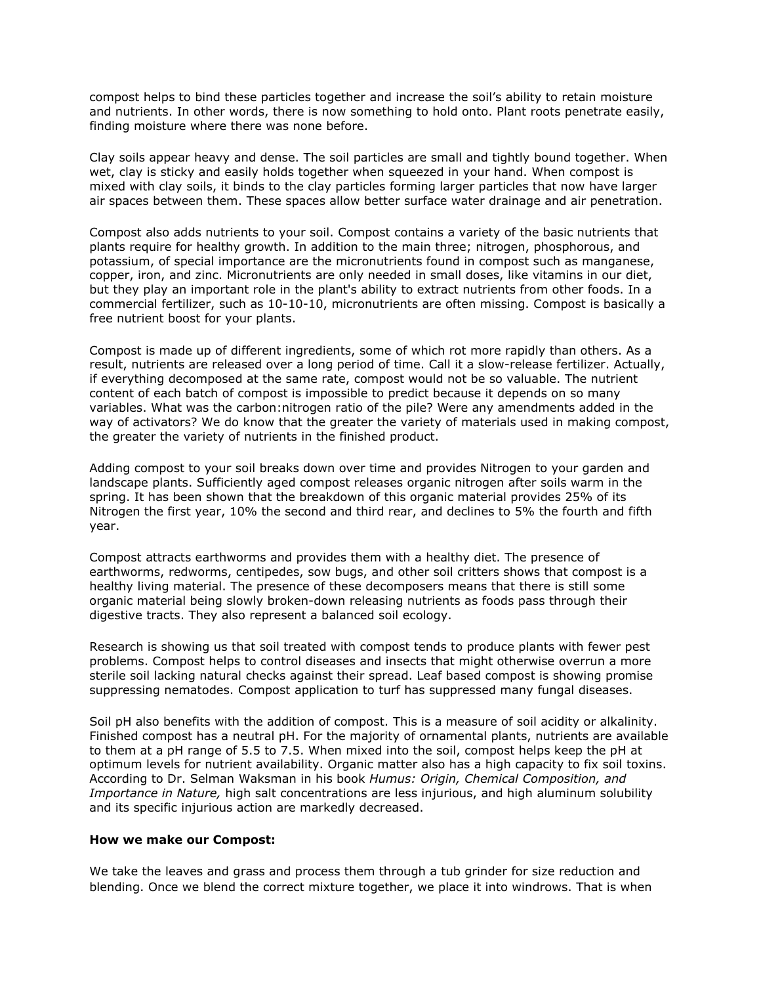compost helps to bind these particles together and increase the soil's ability to retain moisture and nutrients. In other words, there is now something to hold onto. Plant roots penetrate easily, finding moisture where there was none before.

Clay soils appear heavy and dense. The soil particles are small and tightly bound together. When wet, clay is sticky and easily holds together when squeezed in your hand. When compost is mixed with clay soils, it binds to the clay particles forming larger particles that now have larger air spaces between them. These spaces allow better surface water drainage and air penetration.

Compost also adds nutrients to your soil. Compost contains a variety of the basic nutrients that plants require for healthy growth. In addition to the main three; nitrogen, phosphorous, and potassium, of special importance are the micronutrients found in compost such as manganese, copper, iron, and zinc. Micronutrients are only needed in small doses, like vitamins in our diet, but they play an important role in the plant's ability to extract nutrients from other foods. In a commercial fertilizer, such as 10-10-10, micronutrients are often missing. Compost is basically a free nutrient boost for your plants.

Compost is made up of different ingredients, some of which rot more rapidly than others. As a result, nutrients are released over a long period of time. Call it a slow-release fertilizer. Actually, if everything decomposed at the same rate, compost would not be so valuable. The nutrient content of each batch of compost is impossible to predict because it depends on so many variables. What was the carbon:nitrogen ratio of the pile? Were any amendments added in the way of activators? We do know that the greater the variety of materials used in making compost, the greater the variety of nutrients in the finished product.

Adding compost to your soil breaks down over time and provides Nitrogen to your garden and landscape plants. Sufficiently aged compost releases organic nitrogen after soils warm in the spring. It has been shown that the breakdown of this organic material provides 25% of its Nitrogen the first year, 10% the second and third rear, and declines to 5% the fourth and fifth year.

Compost attracts earthworms and provides them with a healthy diet. The presence of earthworms, redworms, centipedes, sow bugs, and other soil critters shows that compost is a healthy living material. The presence of these decomposers means that there is still some organic material being slowly broken-down releasing nutrients as foods pass through their digestive tracts. They also represent a balanced soil ecology.

Research is showing us that soil treated with compost tends to produce plants with fewer pest problems. Compost helps to control diseases and insects that might otherwise overrun a more sterile soil lacking natural checks against their spread. Leaf based compost is showing promise suppressing nematodes. Compost application to turf has suppressed many fungal diseases.

Soil pH also benefits with the addition of compost. This is a measure of soil acidity or alkalinity. Finished compost has a neutral pH. For the majority of ornamental plants, nutrients are available to them at a pH range of 5.5 to 7.5. When mixed into the soil, compost helps keep the pH at optimum levels for nutrient availability. Organic matter also has a high capacity to fix soil toxins. According to Dr. Selman Waksman in his book *Humus: Origin, Chemical Composition, and Importance in Nature,* high salt concentrations are less injurious, and high aluminum solubility and its specific injurious action are markedly decreased.

#### **How we make our Compost:**

We take the leaves and grass and process them through a tub grinder for size reduction and blending. Once we blend the correct mixture together, we place it into windrows. That is when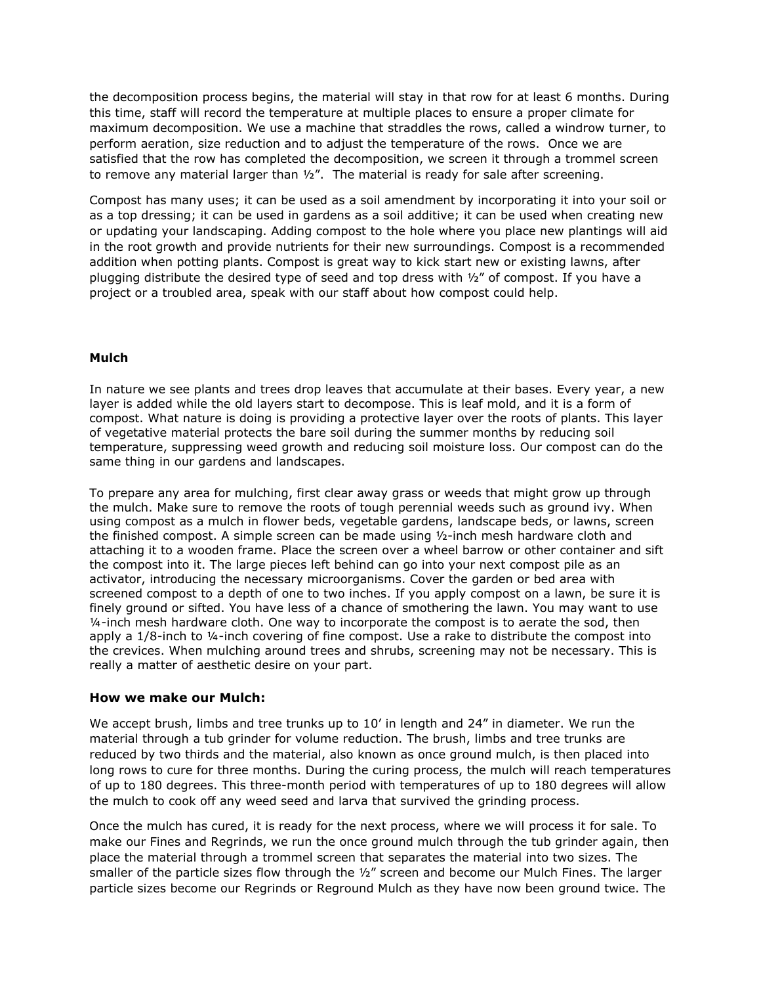the decomposition process begins, the material will stay in that row for at least 6 months. During this time, staff will record the temperature at multiple places to ensure a proper climate for maximum decomposition. We use a machine that straddles the rows, called a windrow turner, to perform aeration, size reduction and to adjust the temperature of the rows. Once we are satisfied that the row has completed the decomposition, we screen it through a trommel screen to remove any material larger than  $\frac{1}{2}$ ". The material is ready for sale after screening.

Compost has many uses; it can be used as a soil amendment by incorporating it into your soil or as a top dressing; it can be used in gardens as a soil additive; it can be used when creating new or updating your landscaping. Adding compost to the hole where you place new plantings will aid in the root growth and provide nutrients for their new surroundings. Compost is a recommended addition when potting plants. Compost is great way to kick start new or existing lawns, after plugging distribute the desired type of seed and top dress with  $\frac{1}{2}$ " of compost. If you have a project or a troubled area, speak with our staff about how compost could help.

#### **Mulch**

In nature we see plants and trees drop leaves that accumulate at their bases. Every year, a new layer is added while the old layers start to decompose. This is leaf mold, and it is a form of compost. What nature is doing is providing a protective layer over the roots of plants. This layer of vegetative material protects the bare soil during the summer months by reducing soil temperature, suppressing weed growth and reducing soil moisture loss. Our compost can do the same thing in our gardens and landscapes.

To prepare any area for mulching, first clear away grass or weeds that might grow up through the mulch. Make sure to remove the roots of tough perennial weeds such as ground ivy. When using compost as a mulch in flower beds, vegetable gardens, landscape beds, or lawns, screen the finished compost. A simple screen can be made using ½-inch mesh hardware cloth and attaching it to a wooden frame. Place the screen over a wheel barrow or other container and sift the compost into it. The large pieces left behind can go into your next compost pile as an activator, introducing the necessary microorganisms. Cover the garden or bed area with screened compost to a depth of one to two inches. If you apply compost on a lawn, be sure it is finely ground or sifted. You have less of a chance of smothering the lawn. You may want to use ¼-inch mesh hardware cloth. One way to incorporate the compost is to aerate the sod, then apply a  $1/8$ -inch to  $\frac{1}{4}$ -inch covering of fine compost. Use a rake to distribute the compost into the crevices. When mulching around trees and shrubs, screening may not be necessary. This is really a matter of aesthetic desire on your part.

#### **How we make our Mulch:**

We accept brush, limbs and tree trunks up to 10' in length and 24" in diameter. We run the material through a tub grinder for volume reduction. The brush, limbs and tree trunks are reduced by two thirds and the material, also known as once ground mulch, is then placed into long rows to cure for three months. During the curing process, the mulch will reach temperatures of up to 180 degrees. This three-month period with temperatures of up to 180 degrees will allow the mulch to cook off any weed seed and larva that survived the grinding process.

Once the mulch has cured, it is ready for the next process, where we will process it for sale. To make our Fines and Regrinds, we run the once ground mulch through the tub grinder again, then place the material through a trommel screen that separates the material into two sizes. The smaller of the particle sizes flow through the  $\frac{1}{2}$ " screen and become our Mulch Fines. The larger particle sizes become our Regrinds or Reground Mulch as they have now been ground twice. The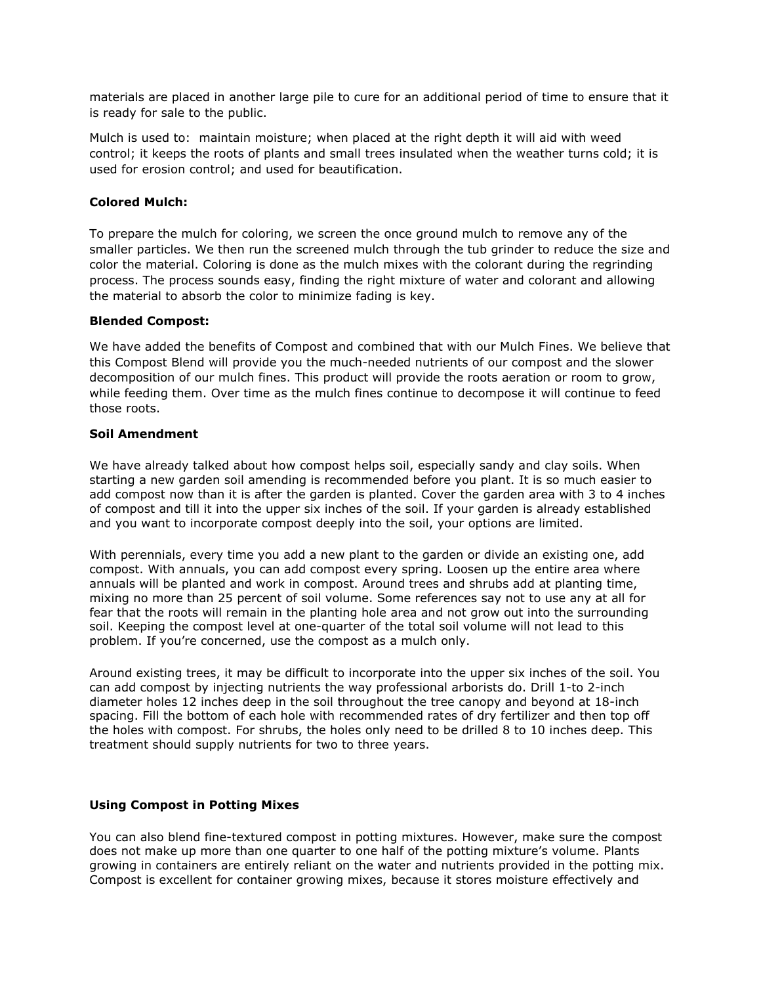materials are placed in another large pile to cure for an additional period of time to ensure that it is ready for sale to the public.

Mulch is used to: maintain moisture; when placed at the right depth it will aid with weed control; it keeps the roots of plants and small trees insulated when the weather turns cold; it is used for erosion control; and used for beautification.

# **Colored Mulch:**

To prepare the mulch for coloring, we screen the once ground mulch to remove any of the smaller particles. We then run the screened mulch through the tub grinder to reduce the size and color the material. Coloring is done as the mulch mixes with the colorant during the regrinding process. The process sounds easy, finding the right mixture of water and colorant and allowing the material to absorb the color to minimize fading is key.

#### **Blended Compost:**

We have added the benefits of Compost and combined that with our Mulch Fines. We believe that this Compost Blend will provide you the much-needed nutrients of our compost and the slower decomposition of our mulch fines. This product will provide the roots aeration or room to grow, while feeding them. Over time as the mulch fines continue to decompose it will continue to feed those roots.

# **Soil Amendment**

We have already talked about how compost helps soil, especially sandy and clay soils. When starting a new garden soil amending is recommended before you plant. It is so much easier to add compost now than it is after the garden is planted. Cover the garden area with 3 to 4 inches of compost and till it into the upper six inches of the soil. If your garden is already established and you want to incorporate compost deeply into the soil, your options are limited.

With perennials, every time you add a new plant to the garden or divide an existing one, add compost. With annuals, you can add compost every spring. Loosen up the entire area where annuals will be planted and work in compost. Around trees and shrubs add at planting time, mixing no more than 25 percent of soil volume. Some references say not to use any at all for fear that the roots will remain in the planting hole area and not grow out into the surrounding soil. Keeping the compost level at one-quarter of the total soil volume will not lead to this problem. If you're concerned, use the compost as a mulch only.

Around existing trees, it may be difficult to incorporate into the upper six inches of the soil. You can add compost by injecting nutrients the way professional arborists do. Drill 1-to 2-inch diameter holes 12 inches deep in the soil throughout the tree canopy and beyond at 18-inch spacing. Fill the bottom of each hole with recommended rates of dry fertilizer and then top off the holes with compost. For shrubs, the holes only need to be drilled 8 to 10 inches deep. This treatment should supply nutrients for two to three years.

#### **Using Compost in Potting Mixes**

You can also blend fine-textured compost in potting mixtures. However, make sure the compost does not make up more than one quarter to one half of the potting mixture's volume. Plants growing in containers are entirely reliant on the water and nutrients provided in the potting mix. Compost is excellent for container growing mixes, because it stores moisture effectively and